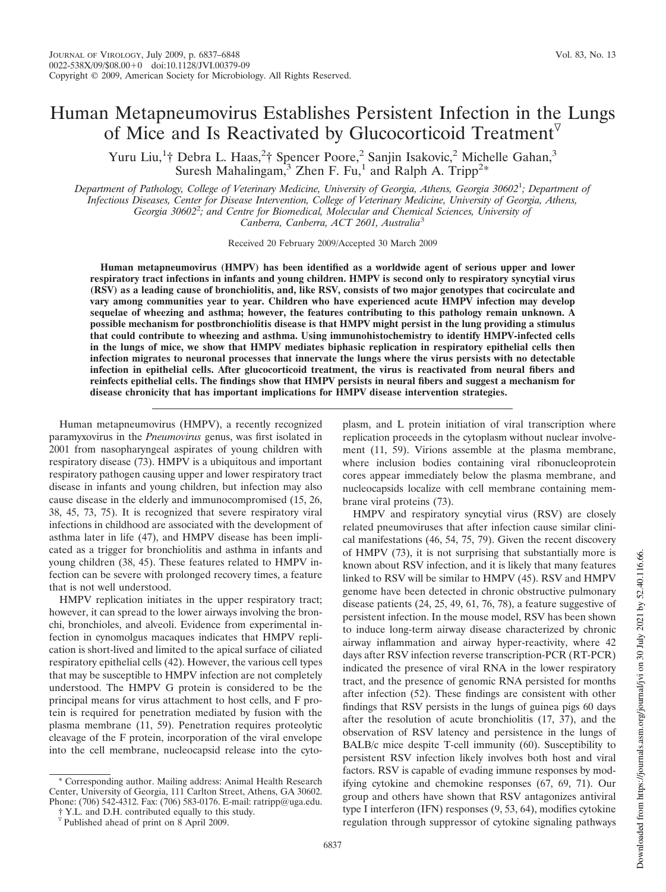# Human Metapneumovirus Establishes Persistent Infection in the Lungs of Mice and Is Reactivated by Glucocorticoid Treatment<sup> $\triangledown$ </sup>

Yuru Liu,<sup>1</sup>† Debra L. Haas,<sup>2</sup>† Spencer Poore,<sup>2</sup> Sanjin Isakovic,<sup>2</sup> Michelle Gahan,<sup>3</sup> Suresh Mahalingam,<sup>3</sup> Zhen F. Fu,<sup>1</sup> and Ralph A. Tripp<sup>2\*</sup>

*Department of Pathology, College of Veterinary Medicine, University of Georgia, Athens, Georgia 30602*<sup>1</sup> *; Department of Infectious Diseases, Center for Disease Intervention, College of Veterinary Medicine, University of Georgia, Athens, Georgia 30602*<sup>2</sup> *; and Centre for Biomedical, Molecular and Chemical Sciences, University of Canberra, Canberra, ACT 2601, Australia*<sup>3</sup>

Received 20 February 2009/Accepted 30 March 2009

**Human metapneumovirus (HMPV) has been identified as a worldwide agent of serious upper and lower respiratory tract infections in infants and young children. HMPV is second only to respiratory syncytial virus (RSV) as a leading cause of bronchiolitis, and, like RSV, consists of two major genotypes that cocirculate and vary among communities year to year. Children who have experienced acute HMPV infection may develop sequelae of wheezing and asthma; however, the features contributing to this pathology remain unknown. A possible mechanism for postbronchiolitis disease is that HMPV might persist in the lung providing a stimulus that could contribute to wheezing and asthma. Using immunohistochemistry to identify HMPV-infected cells in the lungs of mice, we show that HMPV mediates biphasic replication in respiratory epithelial cells then infection migrates to neuronal processes that innervate the lungs where the virus persists with no detectable infection in epithelial cells. After glucocorticoid treatment, the virus is reactivated from neural fibers and reinfects epithelial cells. The findings show that HMPV persists in neural fibers and suggest a mechanism for disease chronicity that has important implications for HMPV disease intervention strategies.**

Human metapneumovirus (HMPV), a recently recognized paramyxovirus in the *Pneumovirus* genus, was first isolated in 2001 from nasopharyngeal aspirates of young children with respiratory disease (73). HMPV is a ubiquitous and important respiratory pathogen causing upper and lower respiratory tract disease in infants and young children, but infection may also cause disease in the elderly and immunocompromised (15, 26, 38, 45, 73, 75). It is recognized that severe respiratory viral infections in childhood are associated with the development of asthma later in life (47), and HMPV disease has been implicated as a trigger for bronchiolitis and asthma in infants and young children (38, 45). These features related to HMPV infection can be severe with prolonged recovery times, a feature that is not well understood.

HMPV replication initiates in the upper respiratory tract; however, it can spread to the lower airways involving the bronchi, bronchioles, and alveoli. Evidence from experimental infection in cynomolgus macaques indicates that HMPV replication is short-lived and limited to the apical surface of ciliated respiratory epithelial cells (42). However, the various cell types that may be susceptible to HMPV infection are not completely understood. The HMPV G protein is considered to be the principal means for virus attachment to host cells, and F protein is required for penetration mediated by fusion with the plasma membrane (11, 59). Penetration requires proteolytic cleavage of the F protein, incorporation of the viral envelope into the cell membrane, nucleocapsid release into the cyto-

\* Corresponding author. Mailing address: Animal Health Research Center, University of Georgia, 111 Carlton Street, Athens, GA 30602. Phone: (706) 542-4312. Fax: (706) 583-0176. E-mail: ratripp@uga.edu.

† Y.L. and D.H. contributed equally to this study.

plasm, and L protein initiation of viral transcription where replication proceeds in the cytoplasm without nuclear involvement (11, 59). Virions assemble at the plasma membrane, where inclusion bodies containing viral ribonucleoprotein cores appear immediately below the plasma membrane, and nucleocapsids localize with cell membrane containing membrane viral proteins (73).

HMPV and respiratory syncytial virus (RSV) are closely related pneumoviruses that after infection cause similar clinical manifestations (46, 54, 75, 79). Given the recent discovery of HMPV (73), it is not surprising that substantially more is known about RSV infection, and it is likely that many features linked to RSV will be similar to HMPV (45). RSV and HMPV genome have been detected in chronic obstructive pulmonary disease patients (24, 25, 49, 61, 76, 78), a feature suggestive of persistent infection. In the mouse model, RSV has been shown to induce long-term airway disease characterized by chronic airway inflammation and airway hyper-reactivity, where 42 days after RSV infection reverse transcription-PCR (RT-PCR) indicated the presence of viral RNA in the lower respiratory tract, and the presence of genomic RNA persisted for months after infection (52). These findings are consistent with other findings that RSV persists in the lungs of guinea pigs 60 days after the resolution of acute bronchiolitis (17, 37), and the observation of RSV latency and persistence in the lungs of BALB/c mice despite T-cell immunity (60). Susceptibility to persistent RSV infection likely involves both host and viral factors. RSV is capable of evading immune responses by modifying cytokine and chemokine responses (67, 69, 71). Our group and others have shown that RSV antagonizes antiviral type I interferon (IFN) responses (9, 53, 64), modifies cytokine regulation through suppressor of cytokine signaling pathways

 $\overline{v}$  Published ahead of print on 8 April 2009.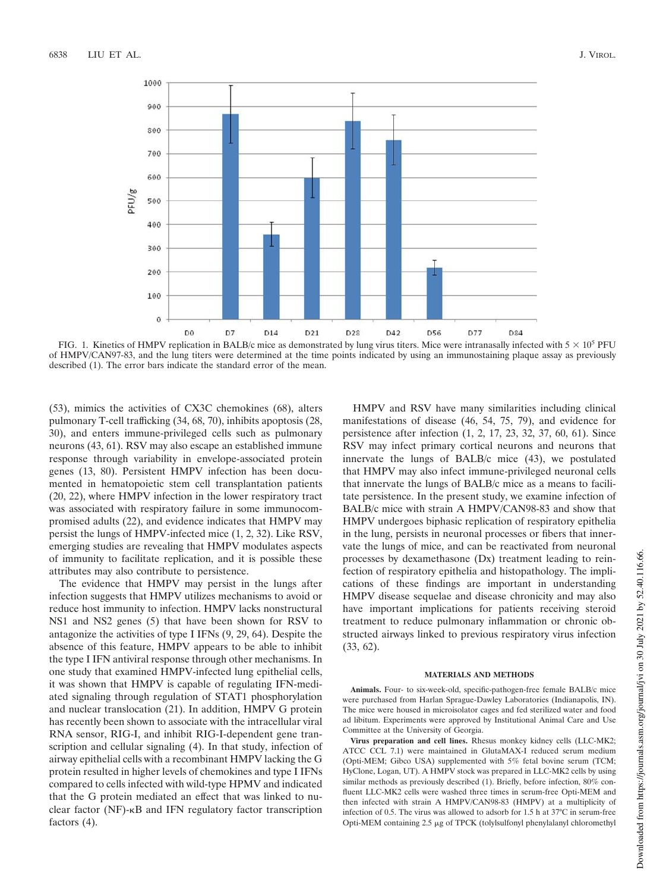

FIG. 1. Kinetics of HMPV replication in BALB/c mice as demonstrated by lung virus titers. Mice were intranasally infected with  $5 \times 10^5$  PFU of HMPV/CAN97-83, and the lung titers were determined at the time points indicated by using an immunostaining plaque assay as previously described (1). The error bars indicate the standard error of the mean.

(53), mimics the activities of CX3C chemokines (68), alters pulmonary T-cell trafficking (34, 68, 70), inhibits apoptosis (28, 30), and enters immune-privileged cells such as pulmonary neurons (43, 61). RSV may also escape an established immune response through variability in envelope-associated protein genes (13, 80). Persistent HMPV infection has been documented in hematopoietic stem cell transplantation patients (20, 22), where HMPV infection in the lower respiratory tract was associated with respiratory failure in some immunocompromised adults (22), and evidence indicates that HMPV may persist the lungs of HMPV-infected mice (1, 2, 32). Like RSV, emerging studies are revealing that HMPV modulates aspects of immunity to facilitate replication, and it is possible these attributes may also contribute to persistence.

The evidence that HMPV may persist in the lungs after infection suggests that HMPV utilizes mechanisms to avoid or reduce host immunity to infection. HMPV lacks nonstructural NS1 and NS2 genes (5) that have been shown for RSV to antagonize the activities of type I IFNs (9, 29, 64). Despite the absence of this feature, HMPV appears to be able to inhibit the type I IFN antiviral response through other mechanisms. In one study that examined HMPV-infected lung epithelial cells, it was shown that HMPV is capable of regulating IFN-mediated signaling through regulation of STAT1 phosphorylation and nuclear translocation (21). In addition, HMPV G protein has recently been shown to associate with the intracellular viral RNA sensor, RIG-I, and inhibit RIG-I-dependent gene transcription and cellular signaling (4). In that study, infection of airway epithelial cells with a recombinant HMPV lacking the G protein resulted in higher levels of chemokines and type I IFNs compared to cells infected with wild-type HPMV and indicated that the G protein mediated an effect that was linked to nuclear factor (NF)- $\kappa$ B and IFN regulatory factor transcription factors (4).

HMPV and RSV have many similarities including clinical manifestations of disease (46, 54, 75, 79), and evidence for persistence after infection (1, 2, 17, 23, 32, 37, 60, 61). Since RSV may infect primary cortical neurons and neurons that innervate the lungs of BALB/c mice (43), we postulated that HMPV may also infect immune-privileged neuronal cells that innervate the lungs of BALB/c mice as a means to facilitate persistence. In the present study, we examine infection of BALB/c mice with strain A HMPV/CAN98-83 and show that HMPV undergoes biphasic replication of respiratory epithelia in the lung, persists in neuronal processes or fibers that innervate the lungs of mice, and can be reactivated from neuronal processes by dexamethasone (Dx) treatment leading to reinfection of respiratory epithelia and histopathology. The implications of these findings are important in understanding HMPV disease sequelae and disease chronicity and may also have important implications for patients receiving steroid treatment to reduce pulmonary inflammation or chronic obstructed airways linked to previous respiratory virus infection (33, 62).

#### **MATERIALS AND METHODS**

**Animals.** Four- to six-week-old, specific-pathogen-free female BALB/c mice were purchased from Harlan Sprague-Dawley Laboratories (Indianapolis, IN). The mice were housed in microisolator cages and fed sterilized water and food ad libitum. Experiments were approved by Institutional Animal Care and Use Committee at the University of Georgia.

**Virus preparation and cell lines.** Rhesus monkey kidney cells (LLC-MK2; ATCC CCL 7.1) were maintained in GlutaMAX-I reduced serum medium (Opti-MEM; Gibco USA) supplemented with 5% fetal bovine serum (TCM; HyClone, Logan, UT). A HMPV stock was prepared in LLC-MK2 cells by using similar methods as previously described (1). Briefly, before infection, 80% confluent LLC-MK2 cells were washed three times in serum-free Opti-MEM and then infected with strain A HMPV/CAN98-83 (HMPV) at a multiplicity of infection of 0.5. The virus was allowed to adsorb for 1.5 h at 37°C in serum-free Opti-MEM containing 2.5 µg of TPCK (tolylsulfonyl phenylalanyl chloromethyl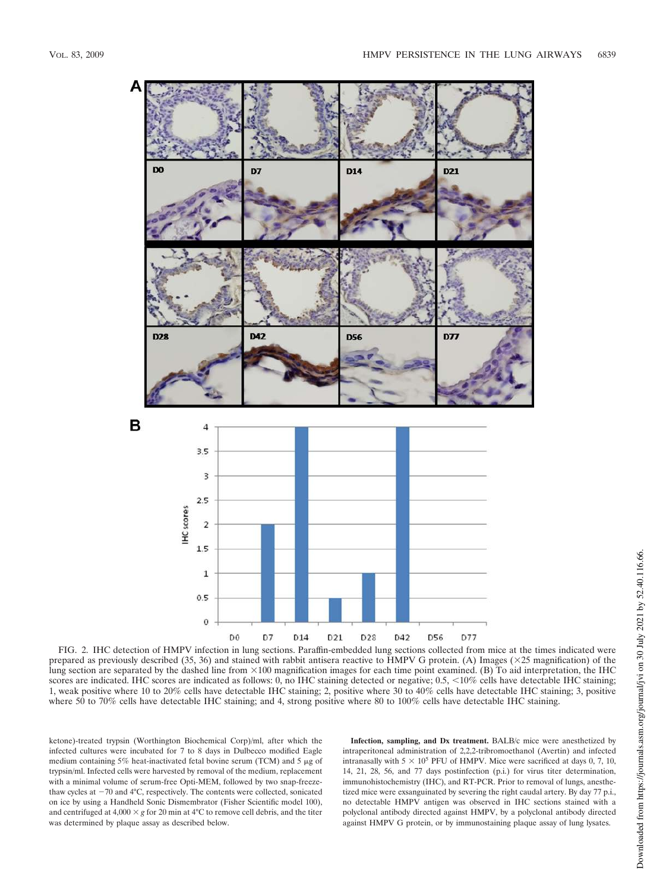

FIG. 2. IHC detection of HMPV infection in lung sections. Paraffin-embedded lung sections collected from mice at the times indicated were prepared as previously described (35, 36) and stained with rabbit antisera reactive to  $\overline{H}MPV$  G protein. (A) Images ( $\times$ 25 magnification) of the lung section are separated by the dashed line from  $\times 100$  magnification images for each time point examined. (B) To aid interpretation, the IHC scores are indicated. IHC scores are indicated as follows: 0, no IHC staining detected or negative;  $0.5$ ,  $\leq 10\%$  cells have detectable IHC staining; 1, weak positive where 10 to 20% cells have detectable IHC staining; 2, positive where 30 to 40% cells have detectable IHC staining; 3, positive where 50 to 70% cells have detectable IHC staining; and 4, strong positive where 80 to 100% cells have detectable IHC staining.

ketone)-treated trypsin (Worthington Biochemical Corp)/ml, after which the infected cultures were incubated for 7 to 8 days in Dulbecco modified Eagle medium containing 5% heat-inactivated fetal bovine serum (TCM) and 5  $\mu$ g of trypsin/ml. Infected cells were harvested by removal of the medium, replacement with a minimal volume of serum-free Opti-MEM, followed by two snap-freezethaw cycles at  $-70$  and  $4^{\circ}$ C, respectively. The contents were collected, sonicated on ice by using a Handheld Sonic Dismembrator (Fisher Scientific model 100), and centrifuged at  $4,000 \times g$  for 20 min at 4°C to remove cell debris, and the titer was determined by plaque assay as described below.

**Infection, sampling, and Dx treatment.** BALB/c mice were anesthetized by intraperitoneal administration of 2,2,2-tribromoethanol (Avertin) and infected intranasally with  $5 \times 10^5$  PFU of HMPV. Mice were sacrificed at days 0, 7, 10, 14, 21, 28, 56, and 77 days postinfection (p.i.) for virus titer determination, immunohistochemistry (IHC), and RT-PCR. Prior to removal of lungs, anesthetized mice were exsanguinated by severing the right caudal artery. By day 77 p.i., no detectable HMPV antigen was observed in IHC sections stained with a polyclonal antibody directed against HMPV, by a polyclonal antibody directed against HMPV G protein, or by immunostaining plaque assay of lung lysates.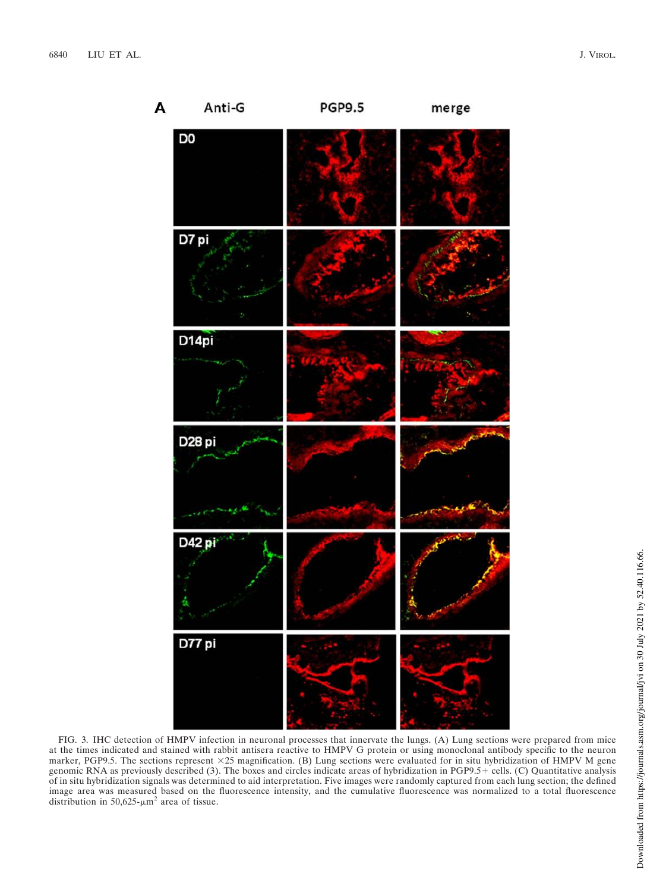

FIG. 3. IHC detection of HMPV infection in neuronal processes that innervate the lungs. (A) Lung sections were prepared from mice at the times indicated and stained with rabbit antisera reactive to HMPV G protein or using monoclonal antibody specific to the neuron marker, PGP9.5. The sections represent  $\times 25$  magnification. (B) Lung sections were evaluated for in situ hybridization of HMPV M gene genomic RNA as previously described (3). The boxes and circles indicate areas of hybridization in PGP9.5+ cells. (C) Quantitative analysis of in situ hybridization signals was determined to aid interpretation. Five images were randomly captured from each lung section; the defined image area was measured based on the fluorescence intensity, and the cumulative fluorescence was normalized to a total fluorescence<br>distribution in 50,625-µm<sup>2</sup> area of tissue.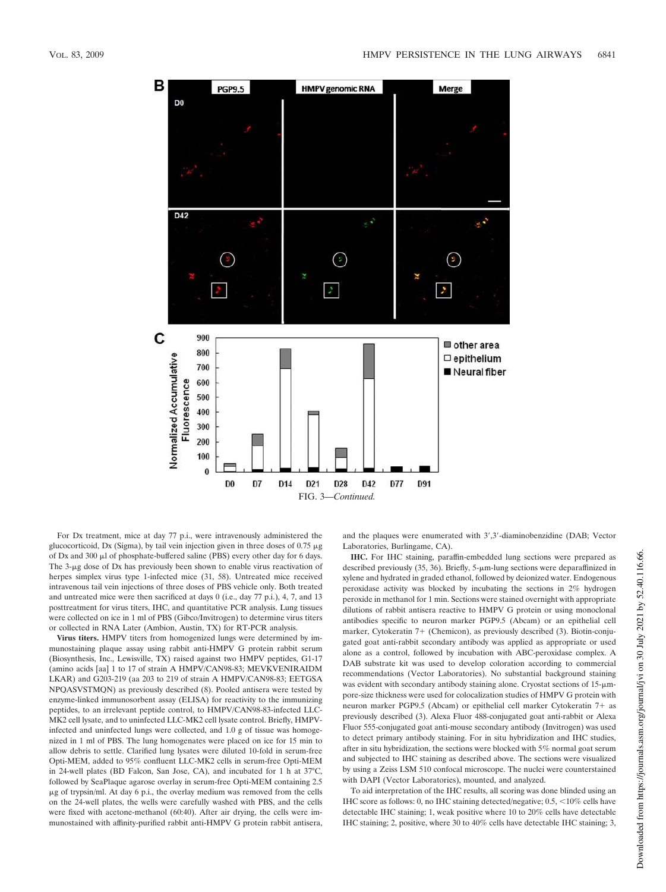

For Dx treatment, mice at day 77 p.i., were intravenously administered the glucocorticoid, Dx (Sigma), by tail vein injection given in three doses of  $0.75 \mu g$ of Dx and 300  $\mu$ l of phosphate-buffered saline (PBS) every other day for 6 days. The  $3$ - $\mu$ g dose of Dx has previously been shown to enable virus reactivation of herpes simplex virus type 1-infected mice (31, 58). Untreated mice received intravenous tail vein injections of three doses of PBS vehicle only. Both treated and untreated mice were then sacrificed at days 0 (i.e., day 77 p.i.), 4, 7, and 13 posttreatment for virus titers, IHC, and quantitative PCR analysis. Lung tissues were collected on ice in 1 ml of PBS (Gibco/Invitrogen) to determine virus titers or collected in RNA Later (Ambion, Austin, TX) for RT-PCR analysis.

**Virus titers.** HMPV titers from homogenized lungs were determined by immunostaining plaque assay using rabbit anti-HMPV G protein rabbit serum (Biosynthesis, Inc., Lewisville, TX) raised against two HMPV peptides, G1-17 (amino acids [aa] 1 to 17 of strain A HMPV/CAN98-83; MEVKVENIRAIDM LKAR) and G203-219 (aa 203 to 219 of strain A HMPV/CAN98-83; EETGSA NPQASVSTMQN) as previously described (8). Pooled antisera were tested by enzyme-linked immunosorbent assay (ELISA) for reactivity to the immunizing peptides, to an irrelevant peptide control, to HMPV/CAN98-83-infected LLC-MK2 cell lysate, and to uninfected LLC-MK2 cell lysate control. Briefly, HMPVinfected and uninfected lungs were collected, and 1.0 g of tissue was homogenized in 1 ml of PBS. The lung homogenates were placed on ice for 15 min to allow debris to settle. Clarified lung lysates were diluted 10-fold in serum-free Opti-MEM, added to 95% confluent LLC-MK2 cells in serum-free Opti-MEM in 24-well plates (BD Falcon, San Jose, CA), and incubated for 1 h at 37°C, followed by SeaPlaque agarose overlay in serum-free Opti-MEM containing 2.5 g of trypsin/ml. At day 6 p.i., the overlay medium was removed from the cells on the 24-well plates, the wells were carefully washed with PBS, and the cells were fixed with acetone-methanol (60:40). After air drying, the cells were immunostained with affinity-purified rabbit anti-HMPV G protein rabbit antisera, and the plaques were enumerated with  $3'$ , $3'$ -diaminobenzidine (DAB; Vector Laboratories, Burlingame, CA).

**IHC.** For IHC staining, paraffin-embedded lung sections were prepared as described previously  $(35, 36)$ . Briefly,  $5-\mu m$ -lung sections were deparaffinized in xylene and hydrated in graded ethanol, followed by deionized water. Endogenous peroxidase activity was blocked by incubating the sections in 2% hydrogen peroxide in methanol for 1 min. Sections were stained overnight with appropriate dilutions of rabbit antisera reactive to HMPV G protein or using monoclonal antibodies specific to neuron marker PGP9.5 (Abcam) or an epithelial cell marker, Cytokeratin  $7+$  (Chemicon), as previously described (3). Biotin-conjugated goat anti-rabbit secondary antibody was applied as appropriate or used alone as a control, followed by incubation with ABC-peroxidase complex. A DAB substrate kit was used to develop coloration according to commercial recommendations (Vector Laboratories). No substantial background staining was evident with secondary antibody staining alone. Cryostat sections of 15-umpore-size thickness were used for colocalization studies of HMPV G protein with neuron marker PGP9.5 (Abcam) or epithelial cell marker Cytokeratin  $7+$  as previously described (3). Alexa Fluor 488-conjugated goat anti-rabbit or Alexa Fluor 555-conjugated goat anti-mouse secondary antibody (Invitrogen) was used to detect primary antibody staining. For in situ hybridization and IHC studies, after in situ hybridization, the sections were blocked with 5% normal goat serum and subjected to IHC staining as described above. The sections were visualized by using a Zeiss LSM 510 confocal microscope. The nuclei were counterstained with DAPI (Vector Laboratories), mounted, and analyzed.

To aid interpretation of the IHC results, all scoring was done blinded using an IHC score as follows: 0, no IHC staining detected/negative;  $0.5$ ,  $\leq 10\%$  cells have detectable IHC staining; 1, weak positive where 10 to 20% cells have detectable IHC staining; 2, positive, where 30 to 40% cells have detectable IHC staining; 3,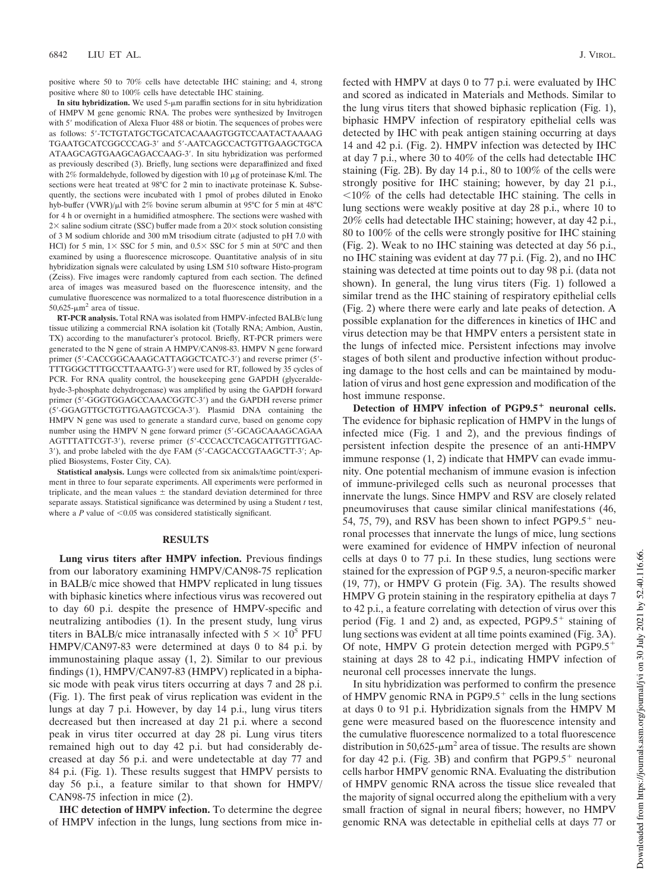positive where 50 to 70% cells have detectable IHC staining; and 4, strong positive where 80 to 100% cells have detectable IHC staining.

In situ hybridization. We used 5-um paraffin sections for in situ hybridization of HMPV M gene genomic RNA. The probes were synthesized by Invitrogen with 5' modification of Alexa Fluor 488 or biotin. The sequences of probes were as follows: 5-TCTGTATGCTGCATCACAAAGTGGTCCAATACTAAAAG TGAATGCATCGGCCCAG-3' and 5'-AATCAGCCACTGTTGAAGCTGCA ATAAGCAGTGAAGCAGACCAAG-3'. In situ hybridization was performed as previously described (3). Briefly, lung sections were deparaffinized and fixed with  $2\%$  formaldehyde, followed by digestion with 10  $\mu$ g of proteinase K/ml. The sections were heat treated at 98°C for 2 min to inactivate proteinase K. Subsequently, the sections were incubated with 1 pmol of probes diluted in Enoko hyb-buffer (VWR)/ $\mu$ l with 2% bovine serum albumin at 95°C for 5 min at 48°C for 4 h or overnight in a humidified atmosphere. The sections were washed with  $2 \times$  saline sodium citrate (SSC) buffer made from a  $20 \times$  stock solution consisting of 3 M sodium chloride and 300 mM trisodium citrate (adjusted to pH 7.0 with HCl) for 5 min,  $1 \times$  SSC for 5 min, and  $0.5 \times$  SSC for 5 min at 50°C and then examined by using a fluorescence microscope. Quantitative analysis of in situ hybridization signals were calculated by using LSM 510 software Histo-program (Zeiss). Five images were randomly captured from each section. The defined area of images was measured based on the fluorescence intensity, and the cumulative fluorescence was normalized to a total fluorescence distribution in a 50,625- $\mu$ m<sup>2</sup> area of tissue.

**RT-PCR analysis.** Total RNA was isolated from HMPV-infected BALB/c lung tissue utilizing a commercial RNA isolation kit (Totally RNA; Ambion, Austin, TX) according to the manufacturer's protocol. Briefly, RT-PCR primers were generated to the N gene of strain A HMPV/CAN98-83. HMPV N gene forward primer (5'-CACCGGCAAAGCATTAGGCTCATC-3') and reverse primer (5'-TTTGGGCTTTGCCTTAAATG-3) were used for RT, followed by 35 cycles of PCR. For RNA quality control, the housekeeping gene GAPDH (glyceraldehyde-3-phosphate dehydrogenase) was amplified by using the GAPDH forward primer (5'-GGGTGGAGCCAAACGGTC-3') and the GAPDH reverse primer (5-GGAGTTGCTGTTGAAGTCGCA-3). Plasmid DNA containing the HMPV N gene was used to generate a standard curve, based on genome copy number using the HMPV N gene forward primer (5-GCAGCAAAGCAGAA AGTTTATTCGT-3), reverse primer (5-CCCACCTCAGCATTGTTTGAC-3), and probe labeled with the dye FAM (5-CAGCACCGTAAGCTT-3; Applied Biosystems, Foster City, CA).

**Statistical analysis.** Lungs were collected from six animals/time point/experiment in three to four separate experiments. All experiments were performed in triplicate, and the mean values  $\pm$  the standard deviation determined for three separate assays. Statistical significance was determined by using a Student *t* test, where a *P* value of  $\leq 0.05$  was considered statistically significant.

## **RESULTS**

**Lung virus titers after HMPV infection.** Previous findings from our laboratory examining HMPV/CAN98-75 replication in BALB/c mice showed that HMPV replicated in lung tissues with biphasic kinetics where infectious virus was recovered out to day 60 p.i. despite the presence of HMPV-specific and neutralizing antibodies (1). In the present study, lung virus titers in BALB/c mice intranasally infected with  $5 \times 10^5$  PFU HMPV/CAN97-83 were determined at days 0 to 84 p.i. by immunostaining plaque assay (1, 2). Similar to our previous findings (1), HMPV/CAN97-83 (HMPV) replicated in a biphasic mode with peak virus titers occurring at days 7 and 28 p.i. (Fig. 1). The first peak of virus replication was evident in the lungs at day 7 p.i. However, by day 14 p.i., lung virus titers decreased but then increased at day 21 p.i. where a second peak in virus titer occurred at day 28 pi. Lung virus titers remained high out to day 42 p.i. but had considerably decreased at day 56 p.i. and were undetectable at day 77 and 84 p.i. (Fig. 1). These results suggest that HMPV persists to day 56 p.i., a feature similar to that shown for HMPV/ CAN98-75 infection in mice (2).

**IHC detection of HMPV infection.** To determine the degree of HMPV infection in the lungs, lung sections from mice infected with HMPV at days 0 to 77 p.i. were evaluated by IHC and scored as indicated in Materials and Methods. Similar to the lung virus titers that showed biphasic replication (Fig. 1), biphasic HMPV infection of respiratory epithelial cells was detected by IHC with peak antigen staining occurring at days 14 and 42 p.i. (Fig. 2). HMPV infection was detected by IHC at day 7 p.i., where 30 to 40% of the cells had detectable IHC staining (Fig. 2B). By day 14 p.i., 80 to 100% of the cells were strongly positive for IHC staining; however, by day 21 p.i.,  $10\%$  of the cells had detectable IHC staining. The cells in lung sections were weakly positive at day 28 p.i., where 10 to 20% cells had detectable IHC staining; however, at day 42 p.i., 80 to 100% of the cells were strongly positive for IHC staining (Fig. 2). Weak to no IHC staining was detected at day 56 p.i., no IHC staining was evident at day 77 p.i. (Fig. 2), and no IHC staining was detected at time points out to day 98 p.i. (data not shown). In general, the lung virus titers (Fig. 1) followed a similar trend as the IHC staining of respiratory epithelial cells (Fig. 2) where there were early and late peaks of detection. A possible explanation for the differences in kinetics of IHC and virus detection may be that HMPV enters a persistent state in the lungs of infected mice. Persistent infections may involve stages of both silent and productive infection without producing damage to the host cells and can be maintained by modulation of virus and host gene expression and modification of the host immune response.

**Detection of HMPV infection of PGP9.5 neuronal cells.** The evidence for biphasic replication of HMPV in the lungs of infected mice (Fig. 1 and 2), and the previous findings of persistent infection despite the presence of an anti-HMPV immune response (1, 2) indicate that HMPV can evade immunity. One potential mechanism of immune evasion is infection of immune-privileged cells such as neuronal processes that innervate the lungs. Since HMPV and RSV are closely related pneumoviruses that cause similar clinical manifestations (46, 54, 75, 79), and RSV has been shown to infect  $PGP9.5<sup>+</sup>$  neuronal processes that innervate the lungs of mice, lung sections were examined for evidence of HMPV infection of neuronal cells at days 0 to 77 p.i. In these studies, lung sections were stained for the expression of PGP 9.5, a neuron-specific marker (19, 77), or HMPV G protein (Fig. 3A). The results showed HMPV G protein staining in the respiratory epithelia at days 7 to 42 p.i., a feature correlating with detection of virus over this period (Fig. 1 and 2) and, as expected, PGP9.5<sup>+</sup> staining of lung sections was evident at all time points examined (Fig. 3A). Of note, HMPV G protein detection merged with PGP9.5 staining at days 28 to 42 p.i., indicating HMPV infection of neuronal cell processes innervate the lungs.

In situ hybridization was performed to confirm the presence of HMPV genomic RNA in PGP9.5<sup>+</sup> cells in the lung sections at days 0 to 91 p.i. Hybridization signals from the HMPV M gene were measured based on the fluorescence intensity and the cumulative fluorescence normalized to a total fluorescence distribution in 50,625- $\mu$ m<sup>2</sup> area of tissue. The results are shown for day 42 p.i. (Fig. 3B) and confirm that PGP9.5<sup>+</sup> neuronal cells harbor HMPV genomic RNA. Evaluating the distribution of HMPV genomic RNA across the tissue slice revealed that the majority of signal occurred along the epithelium with a very small fraction of signal in neural fibers; however, no HMPV genomic RNA was detectable in epithelial cells at days 77 or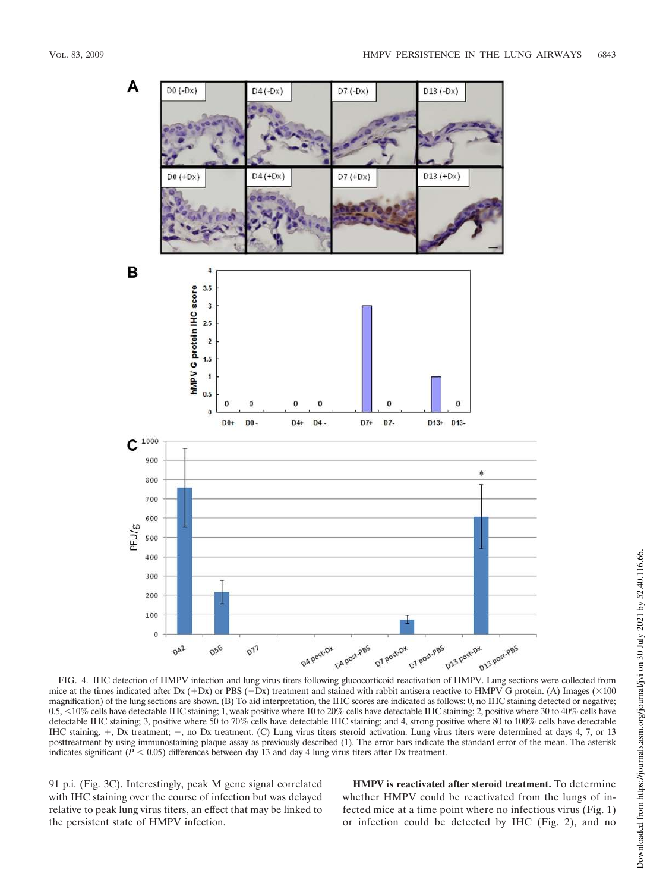

mice at the times indicated after Dx (+Dx) or PBS ( $-Dx$ ) treatment and stained with rabbit antisera reactive to HMPV G protein. (A) Images ( $\times$ 100 magnification) of the lung sections are shown. (B) To aid interpretation, the IHC scores are indicated as follows: 0, no IHC staining detected or negative; 0.5, 10% cells have detectable IHC staining; 1, weak positive where 10 to 20% cells have detectable IHC staining; 2, positive where 30 to 40% cells have detectable IHC staining; 3, positive where 50 to 70% cells have detectable IHC staining; and 4, strong positive where 80 to 100% cells have detectable IHC staining. +, Dx treatment; -, no Dx treatment. (C) Lung virus titers steroid activation. Lung virus titers were determined at days 4, 7, or 13 posttreatment by using immunostaining plaque assay as previously described (1). The error bars indicate the standard error of the mean. The asterisk indicates significant ( $\overline{P}$  < 0.05) differences between day 13 and day 4 lung virus titers after Dx treatment.

91 p.i. (Fig. 3C). Interestingly, peak M gene signal correlated with IHC staining over the course of infection but was delayed relative to peak lung virus titers, an effect that may be linked to the persistent state of HMPV infection.

**HMPV is reactivated after steroid treatment.** To determine whether HMPV could be reactivated from the lungs of infected mice at a time point where no infectious virus (Fig. 1) or infection could be detected by IHC (Fig. 2), and no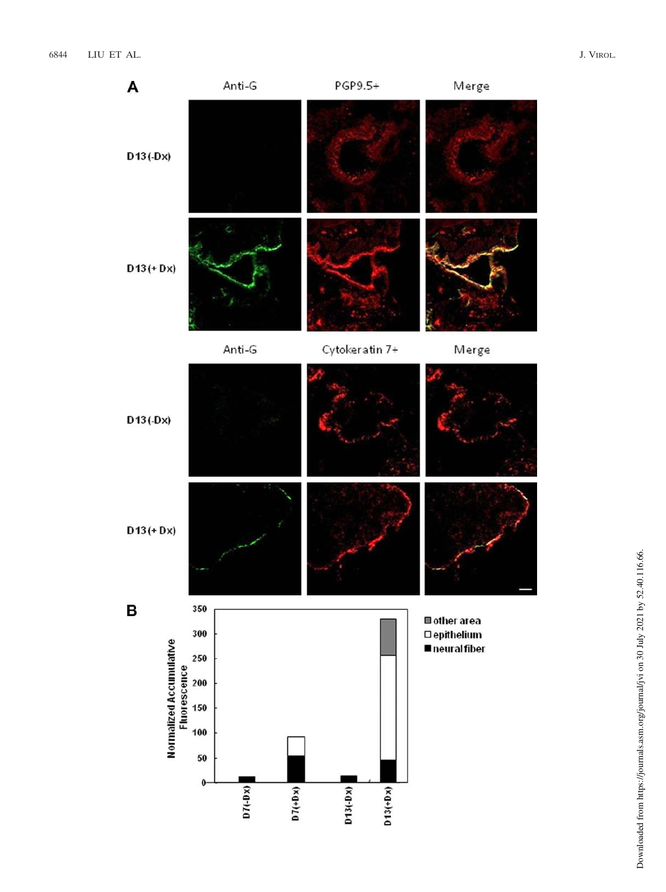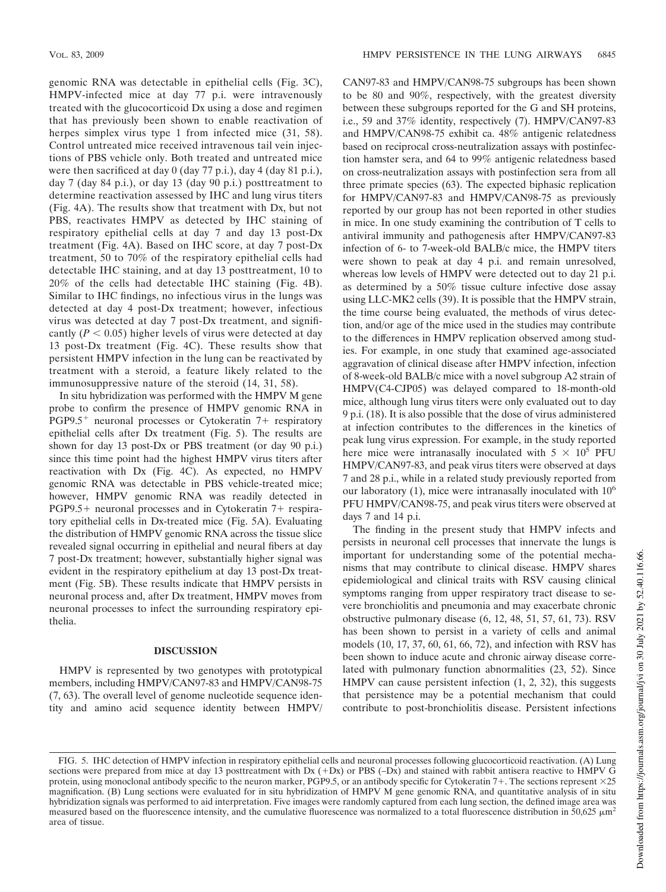genomic RNA was detectable in epithelial cells (Fig. 3C), HMPV-infected mice at day 77 p.i. were intravenously treated with the glucocorticoid Dx using a dose and regimen that has previously been shown to enable reactivation of herpes simplex virus type 1 from infected mice  $(31, 58)$ . Control untreated mice received intravenous tail vein injections of PBS vehicle only. Both treated and untreated mice were then sacrificed at day 0 (day 77 p.i.), day 4 (day 81 p.i.), day 7 (day 84 p.i.), or day 13 (day 90 p.i.) posttreatment to determine reactivation assessed by IHC and lung virus titers (Fig. 4A). The results show that treatment with Dx, but not PBS, reactivates HMPV as detected by IHC staining of respiratory epithelial cells at day 7 and day 13 post-Dx treatment (Fig. 4A). Based on IHC score, at day 7 post-Dx treatment, 50 to 70% of the respiratory epithelial cells had detectable IHC staining, and at day 13 posttreatment, 10 to 20% of the cells had detectable IHC staining (Fig. 4B). Similar to IHC findings, no infectious virus in the lungs was detected at day 4 post-Dx treatment; however, infectious virus was detected at day 7 post-Dx treatment, and significantly  $(P < 0.05)$  higher levels of virus were detected at day 13 post-Dx treatment (Fig. 4C). These results show that persistent HMPV infection in the lung can be reactivated by treatment with a steroid, a feature likely related to the immunosuppressive nature of the steroid (14, 31, 58).

In situ hybridization was performed with the HMPV M gene probe to confirm the presence of HMPV genomic RNA in PGP9.5<sup>+</sup> neuronal processes or Cytokeratin 7+ respiratory epithelial cells after Dx treatment (Fig. 5). The results are shown for day 13 post-Dx or PBS treatment (or day 90 p.i.) since this time point had the highest HMPV virus titers after reactivation with Dx (Fig. 4C). As expected, no HMPV genomic RNA was detectable in PBS vehicle-treated mice; however, HMPV genomic RNA was readily detected in  $PGP9.5+$  neuronal processes and in Cytokeratin  $7+$  respiratory epithelial cells in Dx-treated mice (Fig. 5A). Evaluating the distribution of HMPV genomic RNA across the tissue slice revealed signal occurring in epithelial and neural fibers at day 7 post-Dx treatment; however, substantially higher signal was evident in the respiratory epithelium at day 13 post-Dx treatment (Fig. 5B). These results indicate that HMPV persists in neuronal process and, after Dx treatment, HMPV moves from neuronal processes to infect the surrounding respiratory epithelia.

# **DISCUSSION**

HMPV is represented by two genotypes with prototypical members, including HMPV/CAN97-83 and HMPV/CAN98-75 (7, 63). The overall level of genome nucleotide sequence identity and amino acid sequence identity between HMPV/ CAN97-83 and HMPV/CAN98-75 subgroups has been shown to be 80 and 90%, respectively, with the greatest diversity between these subgroups reported for the G and SH proteins, i.e., 59 and 37% identity, respectively (7). HMPV/CAN97-83 and HMPV/CAN98-75 exhibit ca. 48% antigenic relatedness based on reciprocal cross-neutralization assays with postinfection hamster sera, and 64 to 99% antigenic relatedness based on cross-neutralization assays with postinfection sera from all three primate species (63). The expected biphasic replication for HMPV/CAN97-83 and HMPV/CAN98-75 as previously reported by our group has not been reported in other studies in mice. In one study examining the contribution of T cells to antiviral immunity and pathogenesis after HMPV/CAN97-83 infection of 6- to 7-week-old BALB/c mice, the HMPV titers were shown to peak at day 4 p.i. and remain unresolved, whereas low levels of HMPV were detected out to day 21 p.i. as determined by a 50% tissue culture infective dose assay using LLC-MK2 cells (39). It is possible that the HMPV strain, the time course being evaluated, the methods of virus detection, and/or age of the mice used in the studies may contribute to the differences in HMPV replication observed among studies. For example, in one study that examined age-associated aggravation of clinical disease after HMPV infection, infection of 8-week-old BALB/c mice with a novel subgroup A2 strain of HMPV(C4-CJP05) was delayed compared to 18-month-old mice, although lung virus titers were only evaluated out to day 9 p.i. (18). It is also possible that the dose of virus administered at infection contributes to the differences in the kinetics of peak lung virus expression. For example, in the study reported here mice were intranasally inoculated with  $5 \times 10^5$  PFU HMPV/CAN97-83, and peak virus titers were observed at days 7 and 28 p.i., while in a related study previously reported from our laboratory  $(1)$ , mice were intranasally inoculated with  $10<sup>6</sup>$ PFU HMPV/CAN98-75, and peak virus titers were observed at days 7 and 14 p.i.

The finding in the present study that HMPV infects and persists in neuronal cell processes that innervate the lungs is important for understanding some of the potential mechanisms that may contribute to clinical disease. HMPV shares epidemiological and clinical traits with RSV causing clinical symptoms ranging from upper respiratory tract disease to severe bronchiolitis and pneumonia and may exacerbate chronic obstructive pulmonary disease (6, 12, 48, 51, 57, 61, 73). RSV has been shown to persist in a variety of cells and animal models (10, 17, 37, 60, 61, 66, 72), and infection with RSV has been shown to induce acute and chronic airway disease correlated with pulmonary function abnormalities (23, 52). Since HMPV can cause persistent infection (1, 2, 32), this suggests that persistence may be a potential mechanism that could contribute to post-bronchiolitis disease. Persistent infections

Downloaded from https://journals.asm.org/journal/jvi on 30 July 2021 by 52.40.116.66. Downloaded from https://journals.asm.org/journal/jvi on 30 July 2021 by 52.40.116.66.

FIG. 5. IHC detection of HMPV infection in respiratory epithelial cells and neuronal processes following glucocorticoid reactivation. (A) Lung sections were prepared from mice at day 13 posttreatment with Dx  $(+Dx)$  or PBS  $(-Dx)$  and stained with rabbit antisera reactive to HMPV  $\ddot{\Theta}$ protein, using monoclonal antibody specific to the neuron marker, PGP9.5, or an antibody specific for Cytokeratin  $7+$ . The sections represent  $\times 25$ magnification. (B) Lung sections were evaluated for in situ hybridization of HMPV M gene genomic RNA, and quantitative analysis of in situ hybridization signals was performed to aid interpretation. Five images were randomly captured from each lung section, the defined image area was measured based on the fluorescence intensity, and the cumulative fluorescence was normalized to a total fluorescence distribution in  $\frac{50,625 \text{ }\mu\text{m}^2}{2}$ area of tissue.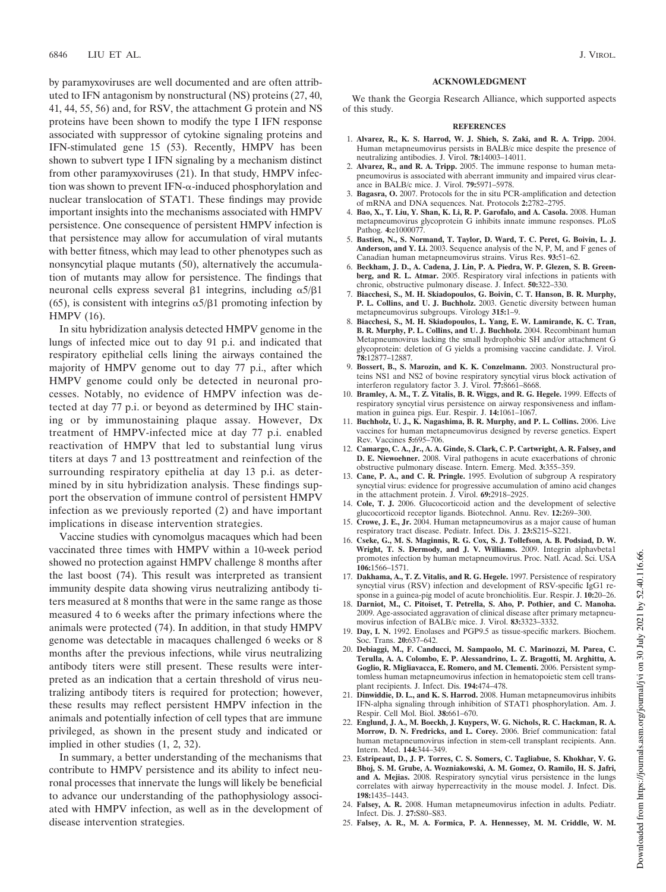by paramyxoviruses are well documented and are often attributed to IFN antagonism by nonstructural (NS) proteins (27, 40, 41, 44, 55, 56) and, for RSV, the attachment G protein and NS proteins have been shown to modify the type I IFN response associated with suppressor of cytokine signaling proteins and IFN-stimulated gene 15 (53). Recently, HMPV has been shown to subvert type I IFN signaling by a mechanism distinct from other paramyxoviruses (21). In that study, HMPV infection was shown to prevent IFN- $\alpha$ -induced phosphorylation and nuclear translocation of STAT1. These findings may provide important insights into the mechanisms associated with HMPV persistence. One consequence of persistent HMPV infection is that persistence may allow for accumulation of viral mutants with better fitness, which may lead to other phenotypes such as nonsyncytial plaque mutants (50), alternatively the accumulation of mutants may allow for persistence. The findings that neuronal cells express several  $\beta$ 1 integrins, including  $\alpha$ 5/ $\beta$ 1 (65), is consistent with integrins  $\alpha$ 5/ $\beta$ 1 promoting infection by HMPV (16).

In situ hybridization analysis detected HMPV genome in the lungs of infected mice out to day 91 p.i. and indicated that respiratory epithelial cells lining the airways contained the majority of HMPV genome out to day 77 p.i., after which HMPV genome could only be detected in neuronal processes. Notably, no evidence of HMPV infection was detected at day 77 p.i. or beyond as determined by IHC staining or by immunostaining plaque assay. However, Dx treatment of HMPV-infected mice at day 77 p.i. enabled reactivation of HMPV that led to substantial lung virus titers at days 7 and 13 posttreatment and reinfection of the surrounding respiratory epithelia at day 13 p.i. as determined by in situ hybridization analysis. These findings support the observation of immune control of persistent HMPV infection as we previously reported (2) and have important implications in disease intervention strategies.

Vaccine studies with cynomolgus macaques which had been vaccinated three times with HMPV within a 10-week period showed no protection against HMPV challenge 8 months after the last boost (74). This result was interpreted as transient immunity despite data showing virus neutralizing antibody titers measured at 8 months that were in the same range as those measured 4 to 6 weeks after the primary infections where the animals were protected (74). In addition, in that study HMPV genome was detectable in macaques challenged 6 weeks or 8 months after the previous infections, while virus neutralizing antibody titers were still present. These results were interpreted as an indication that a certain threshold of virus neutralizing antibody titers is required for protection; however, these results may reflect persistent HMPV infection in the animals and potentially infection of cell types that are immune privileged, as shown in the present study and indicated or implied in other studies (1, 2, 32).

In summary, a better understanding of the mechanisms that contribute to HMPV persistence and its ability to infect neuronal processes that innervate the lungs will likely be beneficial to advance our understanding of the pathophysiology associated with HMPV infection, as well as in the development of disease intervention strategies.

## **ACKNOWLEDGMENT**

We thank the Georgia Research Alliance, which supported aspects of this study.

### **REFERENCES**

- 1. **Alvarez, R., K. S. Harrod, W. J. Shieh, S. Zaki, and R. A. Tripp.** 2004. Human metapneumovirus persists in BALB/c mice despite the presence of neutralizing antibodies. J. Virol. **78:**14003–14011.
- 2. **Alvarez, R., and R. A. Tripp.** 2005. The immune response to human metapneumovirus is associated with aberrant immunity and impaired virus clearance in BALB/c mice. J. Virol. **79:**5971–5978.
- 3. **Bagasra, O.** 2007. Protocols for the in situ PCR-amplification and detection of mRNA and DNA sequences. Nat. Protocols **2:**2782–2795.
- 4. **Bao, X., T. Liu, Y. Shan, K. Li, R. P. Garofalo, and A. Casola.** 2008. Human metapneumovirus glycoprotein G inhibits innate immune responses. PLoS Pathog. **4:**e1000077.
- 5. **Bastien, N., S. Normand, T. Taylor, D. Ward, T. C. Peret, G. Boivin, L. J. Anderson, and Y. Li.** 2003. Sequence analysis of the N, P, M, and F genes of Canadian human metapneumovirus strains. Virus Res. **93:**51–62.
- 6. **Beckham, J. D., A. Cadena, J. Lin, P. A. Piedra, W. P. Glezen, S. B. Greenberg, and R. L. Atmar.** 2005. Respiratory viral infections in patients with chronic, obstructive pulmonary disease. J. Infect. **50:**322–330.
- 7. **Biacchesi, S., M. H. Skiadopoulos, G. Boivin, C. T. Hanson, B. R. Murphy, P. L. Collins, and U. J. Buchholz.** 2003. Genetic diversity between human metapneumovirus subgroups. Virology **315:**1–9.
- 8. **Biacchesi, S., M. H. Skiadopoulos, L. Yang, E. W. Lamirande, K. C. Tran, B. R. Murphy, P. L. Collins, and U. J. Buchholz.** 2004. Recombinant human Metapneumovirus lacking the small hydrophobic SH and/or attachment G glycoprotein: deletion of G yields a promising vaccine candidate. J. Virol. **78:**12877–12887.
- 9. **Bossert, B., S. Marozin, and K. K. Conzelmann.** 2003. Nonstructural proteins NS1 and NS2 of bovine respiratory syncytial virus block activation of interferon regulatory factor 3. J. Virol. **77:**8661–8668.
- 10. **Bramley, A. M., T. Z. Vitalis, B. R. Wiggs, and R. G. Hegele.** 1999. Effects of respiratory syncytial virus persistence on airway responsiveness and inflammation in guinea pigs. Eur. Respir. J. **14:**1061–1067.
- 11. **Buchholz, U. J., K. Nagashima, B. R. Murphy, and P. L. Collins.** 2006. Live vaccines for human metapneumovirus designed by reverse genetics. Expert Rev. Vaccines **5:**695–706.
- 12. **Camargo, C. A., Jr., A. A. Ginde, S. Clark, C. P. Cartwright, A. R. Falsey, and D. E. Niewoehner.** 2008. Viral pathogens in acute exacerbations of chronic obstructive pulmonary disease. Intern. Emerg. Med. **3:**355–359.
- 13. **Cane, P. A., and C. R. Pringle.** 1995. Evolution of subgroup A respiratory syncytial virus: evidence for progressive accumulation of amino acid changes in the attachment protein. J. Virol. **69:**2918–2925.
- 14. **Cole, T. J.** 2006. Glucocorticoid action and the development of selective glucocorticoid receptor ligands. Biotechnol. Annu. Rev. **12:**269–300.
- 15. **Crowe, J. E., Jr.** 2004. Human metapneumovirus as a major cause of human respiratory tract disease. Pediatr. Infect. Dis. J. **23:**S215–S221.
- 16. **Cseke, G., M. S. Maginnis, R. G. Cox, S. J. Tollefson, A. B. Podsiad, D. W. Wright, T. S. Dermody, and J. V. Williams.** 2009. Integrin alphavbeta1 promotes infection by human metapneumovirus. Proc. Natl. Acad. Sci. USA **106:**1566–1571.
- 17. **Dakhama, A., T. Z. Vitalis, and R. G. Hegele.** 1997. Persistence of respiratory syncytial virus (RSV) infection and development of RSV-specific IgG1 response in a guinea-pig model of acute bronchiolitis. Eur. Respir. J. **10:**20–26.
- 18. **Darniot, M., C. Pitoiset, T. Petrella, S. Aho, P. Pothier, and C. Manoha.** 2009. Age-associated aggravation of clinical disease after primary metapneumovirus infection of BALB/c mice. J. Virol. **83:**3323–3332.
- 19. **Day, I. N.** 1992. Enolases and PGP9.5 as tissue-specific markers. Biochem. Soc. Trans. **20:**637–642.
- 20. **Debiaggi, M., F. Canducci, M. Sampaolo, M. C. Marinozzi, M. Parea, C. Terulla, A. A. Colombo, E. P. Alessandrino, L. Z. Bragotti, M. Arghittu, A. Goglio, R. Migliavacca, E. Romero, and M. Clementi.** 2006. Persistent symptomless human metapneumovirus infection in hematopoietic stem cell transplant recipients. J. Infect. Dis. **194:**474–478.
- 21. **Dinwiddie, D. L., and K. S. Harrod.** 2008. Human metapneumovirus inhibits IFN-alpha signaling through inhibition of STAT1 phosphorylation. Am. J. Respir. Cell Mol. Biol. **38:**661–670.
- 22. **Englund, J. A., M. Boeckh, J. Kuypers, W. G. Nichols, R. C. Hackman, R. A. Morrow, D. N. Fredricks, and L. Corey.** 2006. Brief communication: fatal human metapneumovirus infection in stem-cell transplant recipients. Ann. Intern. Med. **144:**344–349.
- 23. **Estripeaut, D., J. P. Torres, C. S. Somers, C. Tagliabue, S. Khokhar, V. G. Bhoj, S. M. Grube, A. Wozniakowski, A. M. Gomez, O. Ramilo, H. S. Jafri, and A. Mejias.** 2008. Respiratory syncytial virus persistence in the lungs correlates with airway hyperreactivity in the mouse model. J. Infect. Dis. **198:**1435–1443.
- 24. **Falsey, A. R.** 2008. Human metapneumovirus infection in adults. Pediatr. Infect. Dis. J. **27:**S80–S83.
- 25. **Falsey, A. R., M. A. Formica, P. A. Hennessey, M. M. Criddle, W. M.**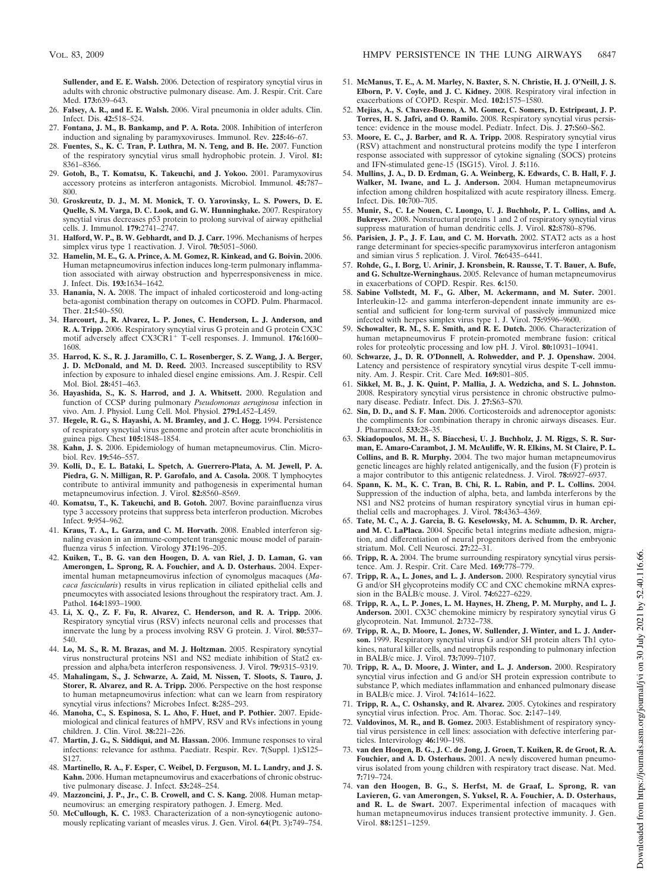**Sullender, and E. E. Walsh.** 2006. Detection of respiratory syncytial virus in adults with chronic obstructive pulmonary disease. Am. J. Respir. Crit. Care Med. **173:**639–643.

- 26. **Falsey, A. R., and E. E. Walsh.** 2006. Viral pneumonia in older adults. Clin. Infect. Dis. **42:**518–524.
- 27. **Fontana, J. M., B. Bankamp, and P. A. Rota.** 2008. Inhibition of interferon induction and signaling by paramyxoviruses. Immunol. Rev. **225:**46–67.
- 28. **Fuentes, S., K. C. Tran, P. Luthra, M. N. Teng, and B. He.** 2007. Function of the respiratory syncytial virus small hydrophobic protein. J. Virol. **81:** 8361–8366.
- 29. **Gotoh, B., T. Komatsu, K. Takeuchi, and J. Yokoo.** 2001. Paramyxovirus accessory proteins as interferon antagonists. Microbiol. Immunol. **45:**787– 800.
- 30. **Groskreutz, D. J., M. M. Monick, T. O. Yarovinsky, L. S. Powers, D. E. Quelle, S. M. Varga, D. C. Look, and G. W. Hunninghake.** 2007. Respiratory syncytial virus decreases p53 protein to prolong survival of airway epithelial cells. J. Immunol. **179:**2741–2747.
- 31. **Halford, W. P., B. W. Gebhardt, and D. J. Carr.** 1996. Mechanisms of herpes simplex virus type 1 reactivation. J. Virol. **70:**5051–5060.
- 32. **Hamelin, M. E., G. A. Prince, A. M. Gomez, R. Kinkead, and G. Boivin.** 2006. Human metapneumovirus infection induces long-term pulmonary inflammation associated with airway obstruction and hyperresponsiveness in mice. J. Infect. Dis. **193:**1634–1642.
- 33. **Hanania, N. A.** 2008. The impact of inhaled corticosteroid and long-acting beta-agonist combination therapy on outcomes in COPD. Pulm. Pharmacol. Ther. **21:**540–550.
- 34. **Harcourt, J., R. Alvarez, L. P. Jones, C. Henderson, L. J. Anderson, and R. A. Tripp.** 2006. Respiratory syncytial virus G protein and G protein CX3C motif adversely affect CX3CR1<sup>+</sup> T-cell responses. J. Immunol. **176:**1600– 1608.
- 35. **Harrod, K. S., R. J. Jaramillo, C. L. Rosenberger, S. Z. Wang, J. A. Berger, J. D. McDonald, and M. D. Reed.** 2003. Increased susceptibility to RSV infection by exposure to inhaled diesel engine emissions. Am. J. Respir. Cell Mol. Biol. **28:**451–463.
- 36. **Hayashida, S., K. S. Harrod, and J. A. Whitsett.** 2000. Regulation and function of CCSP during pulmonary *Pseudomonas aeruginosa* infection in vivo. Am. J. Physiol. Lung Cell. Mol. Physiol. **279:**L452–L459.
- 37. **Hegele, R. G., S. Hayashi, A. M. Bramley, and J. C. Hogg.** 1994. Persistence of respiratory syncytial virus genome and protein after acute bronchiolitis in guinea pigs. Chest **105:**1848–1854.
- 38. **Kahn, J. S.** 2006. Epidemiology of human metapneumovirus. Clin. Microbiol. Rev. **19:**546–557.
- 39. **Kolli, D., E. L. Bataki, L. Spetch, A. Guerrero-Plata, A. M. Jewell, P. A. Piedra, G. N. Milligan, R. P. Garofalo, and A. Casola.** 2008. T lymphocytes contribute to antiviral immunity and pathogenesis in experimental human metapneumovirus infection. J. Virol. **82:**8560–8569.
- 40. **Komatsu, T., K. Takeuchi, and B. Gotoh.** 2007. Bovine parainfluenza virus type 3 accessory proteins that suppress beta interferon production. Microbes Infect. **9:**954–962.
- 41. **Kraus, T. A., L. Garza, and C. M. Horvath.** 2008. Enabled interferon signaling evasion in an immune-competent transgenic mouse model of parainfluenza virus 5 infection. Virology **371:**196–205.
- 42. **Kuiken, T., B. G. van den Hoogen, D. A. van Riel, J. D. Laman, G. van Amerongen, L. Sprong, R. A. Fouchier, and A. D. Osterhaus.** 2004. Experimental human metapneumovirus infection of cynomolgus macaques (*Macaca fascicularis*) results in virus replication in ciliated epithelial cells and pneumocytes with associated lesions throughout the respiratory tract. Am. J. Pathol. **164:**1893–1900.
- 43. **Li, X. Q., Z. F. Fu, R. Alvarez, C. Henderson, and R. A. Tripp.** 2006. Respiratory syncytial virus (RSV) infects neuronal cells and processes that innervate the lung by a process involving RSV G protein. J. Virol. **80:**537– 540.
- 44. **Lo, M. S., R. M. Brazas, and M. J. Holtzman.** 2005. Respiratory syncytial virus nonstructural proteins NS1 and NS2 mediate inhibition of Stat2 expression and alpha/beta interferon responsiveness. J. Virol. **79:**9315–9319.
- 45. **Mahalingam, S., J. Schwarze, A. Zaid, M. Nissen, T. Sloots, S. Tauro, J. Storer, R. Alvarez, and R. A. Tripp.** 2006. Perspective on the host response to human metapneumovirus infection: what can we learn from respiratory syncytial virus infections? Microbes Infect. **8:**285–293.
- 46. **Manoha, C., S. Espinosa, S. L. Aho, F. Huet, and P. Pothier.** 2007. Epidemiological and clinical features of hMPV, RSV and RVs infections in young children. J. Clin. Virol. **38:**221–226.
- 47. **Martin, J. G., S. Siddiqui, and M. Hassan.** 2006. Immune responses to viral infections: relevance for asthma. Paediatr. Respir. Rev. **7**(Suppl. 1)**:**S125– S127.
- 48. **Martinello, R. A., F. Esper, C. Weibel, D. Ferguson, M. L. Landry, and J. S. Kahn.** 2006. Human metapneumovirus and exacerbations of chronic obstructive pulmonary disease. J. Infect. **53:**248–254.
- 49. **Mazzoncini, J. P., Jr., C. B. Crowell, and C. S. Kang.** 2008. Human metapneumovirus: an emerging respiratory pathogen. J. Emerg. Med.
- 50. **McCullough, K. C.** 1983. Characterization of a non-syncytiogenic autonomously replicating variant of measles virus. J. Gen. Virol. **64**(Pt. 3)**:**749–754.
- 51. **McManus, T. E., A. M. Marley, N. Baxter, S. N. Christie, H. J. O'Neill, J. S. Elborn, P. V. Coyle, and J. C. Kidney.** 2008. Respiratory viral infection in exacerbations of COPD. Respir. Med. **102:**1575–1580.
- 52. **Mejias, A., S. Chavez-Bueno, A. M. Gomez, C. Somers, D. Estripeaut, J. P. Torres, H. S. Jafri, and O. Ramilo.** 2008. Respiratory syncytial virus persistence: evidence in the mouse model. Pediatr. Infect. Dis. J. **27:**S60–S62.
- 53. **Moore, E. C., J. Barber, and R. A. Tripp.** 2008. Respiratory syncytial virus (RSV) attachment and nonstructural proteins modify the type I interferon response associated with suppressor of cytokine signaling (SOCS) proteins and IFN-stimulated gene-15 (ISG15). Virol. J. **5:**116.
- 54. **Mullins, J. A., D. D. Erdman, G. A. Weinberg, K. Edwards, C. B. Hall, F. J. Walker, M. Iwane, and L. J. Anderson.** 2004. Human metapneumovirus infection among children hospitalized with acute respiratory illness. Emerg. Infect. Dis. **10:**700–705.
- 55. **Munir, S., C. Le Nouen, C. Luongo, U. J. Buchholz, P. L. Collins, and A. Bukreyev.** 2008. Nonstructural proteins 1 and 2 of respiratory syncytial virus suppress maturation of human dendritic cells. J. Virol. **82:**8780–8796.
- 56. **Parisien, J. P., J. F. Lau, and C. M. Horvath.** 2002. STAT2 acts as a host range determinant for species-specific paramyxovirus interferon antagonism and simian virus 5 replication. J. Virol. **76:**6435–6441.
- 57. **Rohde, G., I. Borg, U. Arinir, J. Kronsbein, R. Rausse, T. T. Bauer, A. Bufe, and G. Schultze-Werninghaus.** 2005. Relevance of human metapneumovirus in exacerbations of COPD. Respir. Res. **6:**150.
- 58. **Sabine Vollstedt, M. F., G. Alber, M. Ackermann, and M. Suter.** 2001. Interleukin-12- and gamma interferon-dependent innate immunity are essential and sufficient for long-term survival of passively immunized mice infected with herpes simplex virus type 1. J. Virol. **75:**9596–9600.
- 59. **Schowalter, R. M., S. E. Smith, and R. E. Dutch.** 2006. Characterization of human metapneumovirus F protein-promoted membrane fusion: critical roles for proteolytic processing and low pH. J. Virol. **80:**10931–10941.
- 60. **Schwarze, J., D. R. O'Donnell, A. Rohwedder, and P. J. Openshaw.** 2004. Latency and persistence of respiratory syncytial virus despite T-cell immunity. Am. J. Respir. Crit. Care Med. **169:**801–805.
- 61. **Sikkel, M. B., J. K. Quint, P. Mallia, J. A. Wedzicha, and S. L. Johnston.** 2008. Respiratory syncytial virus persistence in chronic obstructive pulmonary disease. Pediatr. Infect. Dis. J. **27:**S63–S70.
- 62. **Sin, D. D., and S. F. Man.** 2006. Corticosteroids and adrenoceptor agonists: the compliments for combination therapy in chronic airways diseases. Eur. J. Pharmacol. **533:**28–35.
- 63. **Skiadopoulos, M. H., S. Biacchesi, U. J. Buchholz, J. M. Riggs, S. R. Surman, E. Amaro-Carambot, J. M. McAuliffe, W. R. Elkins, M. St Claire, P. L. Collins, and B. R. Murphy.** 2004. The two major human metapneumovirus genetic lineages are highly related antigenically, and the fusion  $(F)$  protein is a major contributor to this antigenic relatedness. J. Virol. **78:**6927–6937.
- 64. **Spann, K. M., K. C. Tran, B. Chi, R. L. Rabin, and P. L. Collins.** 2004. Suppression of the induction of alpha, beta, and lambda interferons by the NS1 and NS2 proteins of human respiratory syncytial virus in human epithelial cells and macrophages. J. Virol. **78:**4363–4369.
- 65. **Tate, M. C., A. J. Garcia, B. G. Keselowsky, M. A. Schumm, D. R. Archer, and M. C. LaPlaca.** 2004. Specific beta1 integrins mediate adhesion, migration, and differentiation of neural progenitors derived from the embryonic striatum. Mol. Cell Neurosci. **27:**22–31.
- 66. **Tripp, R. A.** 2004. The brume surrounding respiratory syncytial virus persistence. Am. J. Respir. Crit. Care Med. **169:**778–779.
- 67. **Tripp, R. A., L. Jones, and L. J. Anderson.** 2000. Respiratory syncytial virus G and/or SH glycoproteins modify CC and CXC chemokine mRNA expression in the BALB/c mouse. J. Virol. **74:**6227–6229.
- 68. **Tripp, R. A., L. P. Jones, L. M. Haynes, H. Zheng, P. M. Murphy, and L. J. Anderson.** 2001. CX3C chemokine mimicry by respiratory syncytial virus G glycoprotein. Nat. Immunol. **2:**732–738.
- 69. **Tripp, R. A., D. Moore, L. Jones, W. Sullender, J. Winter, and L. J. Anderson.** 1999. Respiratory syncytial virus G and/or SH protein alters Th1 cytokines, natural killer cells, and neutrophils responding to pulmonary infection in BALB/c mice. J. Virol. **73:**7099–7107.
- 70. **Tripp, R. A., D. Moore, J. Winter, and L. J. Anderson.** 2000. Respiratory syncytial virus infection and G and/or SH protein expression contribute to substance P, which mediates inflammation and enhanced pulmonary disease in BALB/c mice. J. Virol. **74:**1614–1622.
- 71. **Tripp, R. A., C. Oshansky, and R. Alvarez.** 2005. Cytokines and respiratory syncytial virus infection. Proc. Am. Thorac. Soc. **2:**147–149.
- Valdovinos, M. R., and B. Gomez. 2003. Establishment of respiratory syncytial virus persistence in cell lines: association with defective interfering particles. Intervirology **46:**190–198.
- 73. **van den Hoogen, B. G., J. C. de Jong, J. Groen, T. Kuiken, R. de Groot, R. A. Fouchier, and A. D. Osterhaus.** 2001. A newly discovered human pneumovirus isolated from young children with respiratory tract disease. Nat. Med. **7:**719–724.
- 74. **van den Hoogen, B. G., S. Herfst, M. de Graaf, L. Sprong, R. van Lavieren, G. van Amerongen, S. Yuksel, R. A. Fouchier, A. D. Osterhaus, and R. L. de Swart.** 2007. Experimental infection of macaques with human metapneumovirus induces transient protective immunity. J. Gen. Virol. **88:**1251–1259.